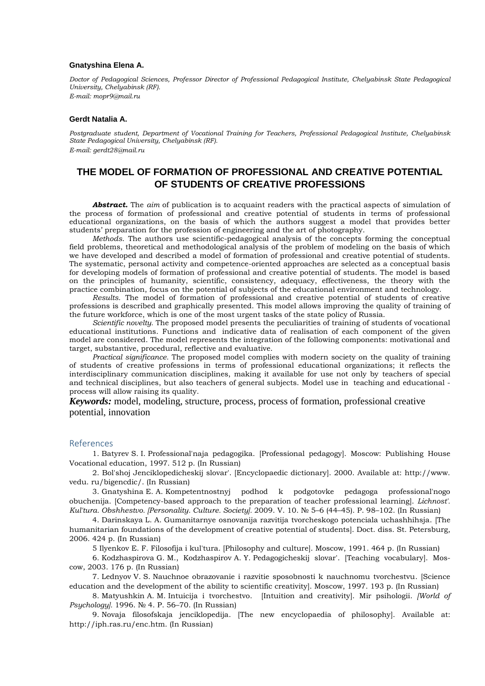## **Gnatyshina Elena A.**

*Doctor of Pedagogical Sciences, Professor Director of Professional Pedagogical Institute, Chelyabinsk State Pedagogical University, Chelyabinsk (RF). E-mail: mopr9@mail.ru*

## **Gerdt Natalia A.**

*Postgraduate student, Department of Vocational Training for Teachers, Professional Pedagogical Institute, Chelyabinsk State Pedagogical University, Chelyabinsk (RF). E-mail: gerdt28@mail.ru*

## **THE MODEL OF FORMATION OF PROFESSIONAL AND CREATIVE POTENTIAL OF STUDENTS OF CREATIVE PROFESSIONS**

*Abstract.* The *aim* of publication is to acquaint readers with the practical aspects of simulation of the process of formation of professional and creative potential of students in terms of professional educational organizations, on the basis of which the authors suggest a model that provides better students' preparation for the profession of engineering and the art of photography.

*Methods*. The authors use scientific-pedagogical analysis of the concepts forming the conceptual field problems, theoretical and methodological analysis of the problem of modeling on the basis of which we have developed and described a model of formation of professional and creative potential of students. The systematic, personal activity and competence-oriented approaches are selected as a conceptual basis for developing models of formation of professional and creative potential of students. The model is based on the principles of humanity, scientific, consistency, adequacy, effectiveness, the theory with the practice combination, focus on the potential of subjects of the educational environment and technology.

*Results*. The model of formation of professional and creative potential of students of creative professions is described and graphically presented. This model allows improving the quality of training of the future workforce, which is one of the most urgent tasks of the state policy of Russia.

*Scientific novelty.* The proposed model presents the peculiarities of training of students of vocational educational institutions. Functions and indicative data of realisation of each component of the given model are considered. The model represents the integration of the following components: motivational and target, substantive, procedural, reflective and evaluative.

*Practical significance.* The proposed model complies with modern society on the quality of training of students of creative professions in terms of professional educational organizations; it reflects the interdisciplinary communication disciplines, making it available for use not only by teachers of special and technical disciplines, but also teachers of general subjects. Model use in teaching and educational process will allow raising its quality.

*Keywords:* model, modeling, structure, process, process of formation, professional creative potential, innovation

## References

1. Batyrev S. I. Professional'naja pedagogika. [Professional pedagogy]. Moscow: Publishing House Vocational education, 1997. 512 p. (In Russian)

2. Bol'shoj Jenciklopedicheskij slovar'. [Encyclopaedic dictionary]. 2000. Available at: http://www. vedu. ru/bigencdic/. (In Russian)

3. Gnatyshina E. A. Kompetentnostnyj podhod k podgotovke pedagoga professional'nogo obuchenija. [Competency-based approach to the preparation of teacher professional learning]. *Lichnost'. Kul'tura. Obshhestvo. [Personality. Culture. Society].* 2009. V. 10. № 5–6 (44–45). P. 98–102. (In Russian)

4. Darinskaya L. A. Gumanitarnye osnovanija razvitija tvorcheskogo potenciala uchashhihsja. [The humanitarian foundations of the development of creative potential of students]. Doct. diss. St. Petersburg, 2006. 424 p. (In Russian)

5 Ilyenkov E. F. Filosofija i kul'tura. [Philosophy and culture]. Moscow, 1991. 464 p. (In Russian)

6. Kodzhaspirova G. M., Kodzhaspirov A. Y. Pedagogicheskij slovar'. [Teaching vocabulary]. Moscow, 2003. 176 p. (In Russian)

7. Lednyov V. S. Nauchnoe obrazovanie i razvitie sposobnosti k nauchnomu tvorchestvu. [Science education and the development of the ability to scientific creativity]. Moscow, 1997. 193 p. (In Russian)

8. Matyushkin A. M. Intuicija i tvorchestvo. [Intuition and creativity]. Mir psihologii. *[World of Psychology].* 1996. № 4. P. 56–70. (In Russian)

9. Novaja filosofskaja jenciklopedija. [The new encyclopaedia of philosophy]. Available at: http://iph.ras.ru/enc.htm. (In Russian)